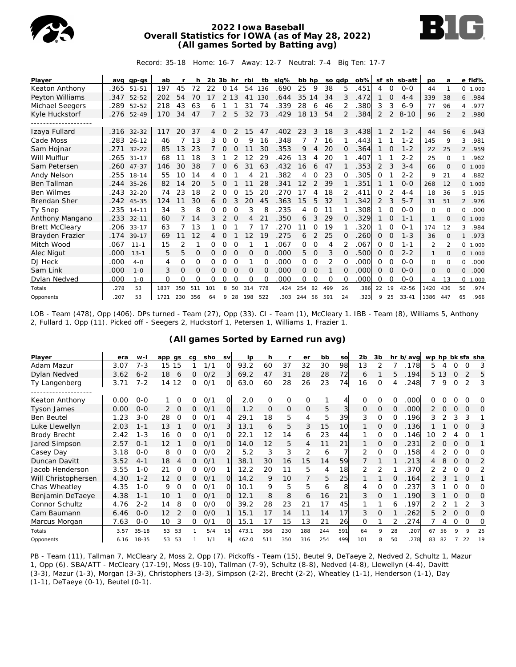

## **2022 Iowa Baseball Overall Statistics for IOWA (as of May 28, 2022) (All games Sorted by Batting avg)**



Record: 35-18 Home: 16-7 Away: 12-7 Neutral: 7-4 Big Ten: 17-7

| Player                |      | avg gp-gs  | ab   |     | h        | 2b 3b hr |                |          | rbi      | tb       | slg% | bb hp    |          | so gdp |          | $ob\%$ |          |          | sf sh sb-att | po       | a                        |                | e fld%   |
|-----------------------|------|------------|------|-----|----------|----------|----------------|----------|----------|----------|------|----------|----------|--------|----------|--------|----------|----------|--------------|----------|--------------------------|----------------|----------|
| Keaton Anthony        | .365 | $51 - 51$  | 197  | 45  | 72       | 22       |                | 0 14     | 54       | 136      | .690 | 25       | 9        | 38     | 5        | .451   | 4        | $\Omega$ | $0 - 0$      | 44       | 1                        |                | 0, 1,000 |
| Peyton Williams       | .347 | 52-52      | 202  | 54  | 70       | 17       | 2              | 13       | 41       | 130      | .644 | 35       | 14       | 34     | 3        | .472   |          | 0        | $4 - 4$      | 339      | 38                       | 6              | .984     |
| Michael Seegers       | .289 | 52-52      | 218  | 43  | 63       | 6        |                |          | 31       | 74       | .339 | 28       | 6        | 46     |          | .380   | 3        | 3        | $6 - 9$      | 77       | 96                       | 4              | .977     |
| Kyle Huckstorf        | .276 | $52 - 49$  | 170  | 34  | 47       |          | 2              | 5        | 32       | 73       | .429 | 18 13    |          | 54     | 2        | .384   | 2        | 2        | $8 - 10$     | 96       | $\overline{\mathcal{L}}$ | $\mathcal{P}$  | .980     |
|                       |      |            |      |     |          |          |                |          |          |          |      |          |          |        |          |        |          |          |              |          |                          |                |          |
| Izaya Fullard         |      | .316 32-32 | 117  | 20  | 37       | 4        | $\Omega$       |          | 15       | 47       | .402 | 23       | 3        | 18     | 3        | .438   |          | 2        | $1 - 2$      | 44       | 56                       | 6              | .943     |
| Cade Moss             | .283 | $26 - 12$  | 46   |     | 13       | 3        | $\mathbf 0$    | 0        | 9        | 16       | .348 |          |          | 16     |          | .443   |          |          | $1 - 2$      | 145      | 9                        | 3              | .981     |
| Sam Hojnar            | .271 | $32 - 22$  | 85   | 13  | 23       | 7        | 0              | $\Omega$ |          | 30       | .353 | 9        | 4        | 20     | O        | .364   |          | 0        | $1 - 2$      | 22       | 25                       | $\overline{2}$ | .959     |
| Will Mulflur          | .265 | $31 - 17$  | 68   | 11  | 18       | 3        |                | 2        | 12       | 29       | .426 | 13       | 4        | 20     |          | .407   |          |          | $2 - 2$      | 25       | $\circ$                  | 1.             | .962     |
| Sam Petersen          | .260 | $47 - 37$  | 146  | 30  | 38       |          | 0              | 6        | 31       | 63       | .432 | 16       | 6        | 47     |          | .353   | 2        | 3        | $3 - 4$      | 66       | $\Omega$                 |                | 0, 1,000 |
| Andy Nelson           | .255 | $18 - 14$  | 55   | 10  | 14       | 4        | 0              |          | 4        | 21       | .382 | 4        | 0        | 23     | ∩        | 305    | 0        |          | $2 - 2$      | 9        | 21                       | 4              | .882     |
| <b>Ben Tallman</b>    | .244 | $35 - 26$  | 82   | 14  | 20       | 5.       | $\Omega$       |          | 11       | 28       | .341 | 12       | 2        | 39     |          | 351    |          |          | $O - O$      | 268      | 12                       |                | 0, 1,000 |
| <b>Ben Wilmes</b>     |      | .243 32-20 | 74   | 23  | 18       | 2        | 0              | $\Omega$ | 15       | 20       | .270 | 17       | 4        | 18     |          | .411   | 0        |          | $4 - 4$      | 18       | 36                       | 5.             | .915     |
| <b>Brendan Sher</b>   |      | .242 45-35 | 124  | 11  | 30       | 6        | $\overline{0}$ | 3        | 20       | 45       | .363 | 15       | 5        | 32     |          | 342    | 2        | 3        | $5 - 7$      | 31       | 51                       |                | 2 .976   |
| Ty Snep               | .235 | $14 - 11$  | 34   | 3   | 8        | Ω        | 0              | $\Omega$ | 3        | 8        | 235  | 4        | $\Omega$ | 11     |          | .308   |          | $\Omega$ | $O - O$      | $\Omega$ | $\Omega$                 | 0              | .000     |
| Anthony Mangano       | .233 | $32 - 11$  | 60   | 7   | 14       | 3        | 2              | 0        | 4        | 21       | .350 | 6        | 3        | 29     | $\Omega$ | .329   |          | O        | $1 - 1$      | 1        | $\Omega$                 |                | 0 1.000  |
| <b>Brett McCleary</b> | .206 | $33 - 17$  | 63   | 7   | 13       |          | 0              |          |          | 17       | 270  | 11       | $\Omega$ | 19     |          | 320    |          | 0        | $0 - 1$      | 174      | 12                       | 3              | .984     |
| Brayden Frazier       | .174 | $39 - 17$  | 69   | 11  | 12       | 4        | 0              |          | 12       | 19       | .275 | 6        | 2        | 25     | $\Omega$ | 260    | 0        | 0        | $1 - 3$      | 36       | $\Omega$                 | $\mathbf{1}$   | .973     |
| Mitch Wood            | .067 | $11 - 1$   | 15   | 2   | 1        | 0        | 0              | $\Omega$ |          |          | .067 | 0        | $\Omega$ | 4      |          | .067   | $\Omega$ | $\Omega$ | $1 - 1$      | 2        | $\mathfrak{p}$           |                | 0 1.000  |
| Alec Nigut            | .000 | $13 - 1$   | 5    | 5   | 0        | 0        | 0              | 0        | 0        | 0        | .000 | 5.       | 0        | 3      | 0        | .500   | 0        | 0        | $2 - 2$      | 1        | $\Omega$                 |                | 0, 1,000 |
| DJ Heck               | .000 | $4-0$      | 4    | 0   | $\Omega$ | 0        | 0              | $\Omega$ | 1        | 0        | .000 | 0        | $\Omega$ | 2      | 0        | .000   | 0        | O        | $O - O$      | 0        | $\Omega$                 | 0              | .000     |
| Sam Link              | .000 | $1 - 0$    | 3    | 0   | $\Omega$ | 0        | $\Omega$       | $\Omega$ | $\Omega$ | $\Omega$ | .000 | $\Omega$ | $\Omega$ |        | $\Omega$ | .000   | $\Omega$ | $\Omega$ | $O - O$      | 0        | $\Omega$                 | 0              | .000     |
| Dylan Nedved          | .000 | $1 - 0$    | O    | Ω   | O        | 0        | 0              | $\Omega$ | $\Omega$ | 0        | .000 | 0        | $\Omega$ | 0      | $\Omega$ | .000   | 0        | 0        | $O - O$      | 4        | 13                       | 0              | 1.000    |
| Totals                | .278 | 53         | 1837 | 350 | 511      | 101      | 8              | 50       | 314      | 778      | .424 | 254      | 82       | 499    | 26       | .386   | 22       | 19       | $42 - 56$    | 1420     | 436                      | 50             | .974     |
| Opponents             | .207 | 53         | 1721 | 230 | 356      | 64       | 9              | 28       | 198      | 522      | .303 | 244      | 56       | 591    | 24       | .323   | 9        | 25       | $33 - 41$    | 1386     | 447                      | 65             | .966     |

LOB - Team (478), Opp (406). DPs turned - Team (27), Opp (33). CI - Team (1), McCleary 1. IBB - Team (8), Williams 5, Anthony 2, Fullard 1, Opp (11). Picked off - Seegers 2, Huckstorf 1, Petersen 1, Williams 1, Frazier 1.

| Player              | era  | W-        | app gs         | ca | sho | <b>SV</b>      | ip    | h        |             | er             | bb  | so  | 2 <sub>b</sub> | 3b             |              | hr b/avg | wp hp bk sfa sha |          |          |                |          |
|---------------------|------|-----------|----------------|----|-----|----------------|-------|----------|-------------|----------------|-----|-----|----------------|----------------|--------------|----------|------------------|----------|----------|----------------|----------|
| Adam Mazur          | 3.07 | $7 - 3$   | 15 15          |    | 1/1 | 0              | 93.2  | 60       | 37          | 32             | 30  | 98  | 13             |                |              | .178     | 5                |          | O        | O              | 3        |
| Dylan Nedved        | 3.62 | $6 - 2$   | 18<br>6        | 0  | O/2 | 31             | 69.2  | 47       | 31          | 28             | 28  | 72  | 6              |                | 5            | .194     |                  | 5 1 3    | 0        |                | 5        |
| Ty Langenberg       | 3.71 | $7 - 2$   | 14 12          | 0  | 0/1 | $\circ$        | 63.0  | 60       | 28          | 26             | 23  | 74  | 16             | O              | 4            | .248     | 7                | 9        | 0        | $\mathfrak{D}$ | 3        |
|                     |      |           |                |    |     |                |       |          |             |                |     |     |                |                |              |          |                  |          |          |                |          |
| Keaton Anthony      | 0.00 | $0 - 0$   | O              |    | 0/1 | $\overline{O}$ | 2.0   | O        | $\mathbf 0$ | $\Omega$       |     |     | $\Omega$       | 0              | O            | .000     |                  |          |          |                | O        |
| <b>Tyson James</b>  | 0.00 | $0 - 0$   | $\Omega$<br>2  | 0  | 0/1 | $\overline{O}$ | 1.2   | $\Omega$ | $\circ$     | $\overline{O}$ | 5   | 3   | $\mathbf{0}$   | $\overline{O}$ | $\mathbf{0}$ | .000     | 2                | $\Omega$ | O        | $\Omega$       | 0        |
| <b>Ben Beutel</b>   | 1.23 | $3 - 0$   | 28<br>$\Omega$ | 0  | 0/1 | 4              | 29.1  | 18       | 5           | 4              | 5   | 39  | 3              | O              | O            | 196      | 3                |          | 3        | 3              |          |
| Luke Llewellyn      | 2.03 | $1 - 1$   | 13             | 0  | O/1 | 3              | 13.1  | 6        | 5           | 3              | 15  | 10  |                | 0              | 0            | .136     |                  |          | 0        | Ω              | 3        |
| Brody Brecht        | 2.42 | $1 - 3$   | 0<br>16        | 0  | O/1 | $\Omega$       | 22.1  | 12       | 14          | 6              | 23  | 44  |                | 0              | 0            | .146     | 10               |          |          | Ω              |          |
| Jared Simpson       | 2.57 | $O - 1$   | 12             | 0  | 0/1 | $\Omega$       | 14.0  | 12       | 5           | 4              | 11  | 21  |                | $\overline{O}$ | $\Omega$     | 231      |                  |          | $\Omega$ | $\Omega$       |          |
| Casey Day           | 3.18 | $0 - 0$   | 8<br>0         | 0  | O/O | フ              | 5.2   | 3        | 3           | 2              | 6   |     | 2              | O              | O            | .158     | 4                |          | O        | $\Omega$       | O        |
| Duncan Davitt       | 3.52 | $4 - 1$   | 18<br>4        | 0  | 0/1 |                | 38.1  | 30       | 16          | 15             | 14  | 59  |                |                |              | .213     | 4                | 8        | 0        | O              | 2        |
| Jacob Henderson     | 3.55 | $1 - 0$   | 21<br>$\Omega$ | 0  | O/O |                | 12.2  | 20       | 11          | 5              | 4   | 18  | 2              | 2              |              | 370      |                  |          | O        | $\Omega$       | 2        |
| Will Christophersen | 4.30 | $1 - 2$   | 12<br>$\Omega$ | 0  | 0/1 | $\Omega$       | 14.2  | 9        | 10          |                | 5   | 25  |                |                | 0            | .164     |                  | 3        |          | $\Omega$       |          |
| Chas Wheatley       | 4.35 | $1 - 0$   | 9<br>$\Omega$  | 0  | O/1 | O              | 10.1  | 9        | 5           | 5              | 6   | 8   | 4              | $\Omega$       | Ω            | 237      |                  |          | Ω        | $\Omega$       | Ω        |
| Benjamin DeTaeye    | 4.38 | $1 - 1$   | 10             | 0  | 0/1 | $\Omega$       | 12.1  | 8        | 8           | 6              | 16  | 21  | 3              | $\Omega$       |              | .190     | 3                |          | $\Omega$ | $\Omega$       | $\Omega$ |
| Connor Schultz      | 4.76 | $2 - 2$   | 8<br>14        | 0  | 0/0 | $\Omega$       | 39.2  | 28       | 23          | 21             | 17  | 45  |                |                | 6            | .197     |                  |          |          |                | 3        |
| Cam Baumann         | 6.46 | $0 - 0$   | 12             | 0  | O/O |                | 15.1  | 17       | 14          |                | 14  | 17  | 3              | $\Omega$       |              | 262      | 5.               |          | 0        | $\Omega$       | $\Omega$ |
| Marcus Morgan       | 7.63 | $O-O$     | 3<br>10        | 0  | 0/1 | O              | 15.1  | 17       | 15          | 13             | 21  | 26  | $\Omega$       |                |              | .274     |                  | 4        | 0        | O              | O        |
| Totals              | 3.57 | $35 - 18$ | 53<br>53       |    | 5/4 | 15             | 473.1 | 356      | 230         | 188            | 244 | 591 | 64             | $\circ$        | 28           | .207     | 67               | 56       | 9        | Q              | 25       |
| Opponents           | 6.16 | $18 - 35$ | 53<br>53       |    | 1/1 | 8              | 462.0 | 511      | 350         | 316            | 254 | 499 | 101            |                | 50           | 278      | 83               | 82       |          | 22             | 19       |

# **(All games Sorted by Earned run avg)**

PB - Team (11), Tallman 7, McCleary 2, Moss 2, Opp (7). Pickoffs - Team (15), Beutel 9, DeTaeye 2, Nedved 2, Schultz 1, Mazur 1, Opp (6). SBA/ATT - McCleary (17-19), Moss (9-10), Tallman (7-9), Schultz (8-8), Nedved (4-8), Llewellyn (4-4), Davitt (3-3), Mazur (1-3), Morgan (3-3), Christophers (3-3), Simpson (2-2), Brecht (2-2), Wheatley (1-1), Henderson (1-1), Day (1-1), DeTaeye (0-1), Beutel (0-1).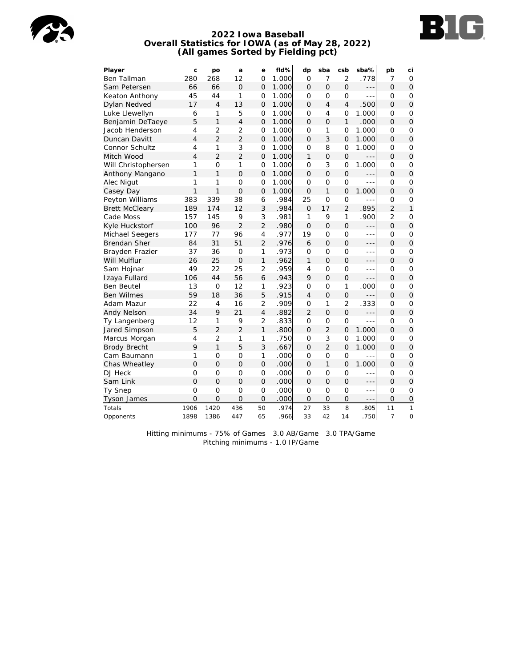



#### **2022 Iowa Baseball Overall Statistics for IOWA (as of May 28, 2022) (All games Sorted by Fielding pct)**

| Player                | C              | po             | a               | е              | fld%  | dp             | sba            | csb            | sba%    | pb             | ci             |
|-----------------------|----------------|----------------|-----------------|----------------|-------|----------------|----------------|----------------|---------|----------------|----------------|
| <b>Ben Tallman</b>    | 280            | 268            | $\overline{12}$ | $\Omega$       | 1.000 | $\Omega$       | $\overline{7}$ | $\overline{2}$ | .778    | $\overline{7}$ | $\Omega$       |
| Sam Petersen          | 66             | 66             | $\Omega$        | $\Omega$       | 1.000 | $\Omega$       | $\Omega$       | $\Omega$       | ---     | $\Omega$       | $\overline{O}$ |
| Keaton Anthony        | 45             | 44             | 1               | 0              | 1.000 | O              | $\overline{O}$ | $\overline{O}$ | $- - -$ | O              | 0              |
| Dylan Nedved          | 17             | $\overline{4}$ | 13              | $\overline{O}$ | 1.000 | $\Omega$       | $\overline{4}$ | $\overline{4}$ | 500     | $\Omega$       | $\overline{O}$ |
| Luke Llewellyn        | 6              | 1              | 5               | $\overline{O}$ | 1.000 | $\mathbf 0$    | $\overline{4}$ | $\overline{O}$ | 1.000   | $\overline{O}$ | $\mathbf 0$    |
| Benjamin DeTaeye      | 5              | $\mathbf{1}$   | $\overline{4}$  | 0              | 1.000 | $\mathcal{O}$  | $\overline{O}$ | $\mathbf{1}$   | .000    | $\mathcal{O}$  | $\overline{O}$ |
| Jacob Henderson       | $\overline{4}$ | $\overline{2}$ | $\overline{2}$  | $\overline{O}$ | 1.000 | $\Omega$       | 1              | $\overline{O}$ | 1.000   | O              | O              |
| Duncan Davitt         | $\overline{4}$ | $\overline{2}$ | $\overline{2}$  | $\overline{O}$ | 1.000 | $\Omega$       | 3              | $\overline{O}$ | 1.000   | $\Omega$       | $\overline{O}$ |
| Connor Schultz        | $\overline{4}$ | 1              | 3               | $\Omega$       | 1.000 | $\Omega$       | 8              | $\overline{O}$ | 1.000   | O              | $\mathbf 0$    |
| Mitch Wood            | $\overline{4}$ | $\overline{2}$ | $\overline{2}$  | 0              | 1.000 | 1              | $\overline{O}$ | $\mathbf 0$    | $- - -$ | 0              | $\mathbf 0$    |
| Will Christophersen   | 1              | $\overline{O}$ | 1               | $\mathbf 0$    | 1.000 | O              | 3              | $\mathbf 0$    | 1.000   | O              | $\mathbf 0$    |
| Anthony Mangano       | $\mathbf{1}$   | $\mathbf{1}$   | $\Omega$        | $\overline{O}$ | 1.000 | $\Omega$       | $\overline{O}$ | $\overline{O}$ | ---     | $\Omega$       | $\mathbf 0$    |
| Alec Nigut            | 1              | 1              | $\Omega$        | $\overline{O}$ | 1.000 | $\Omega$       | $\overline{O}$ | $\overline{O}$ | ---     | $\Omega$       | $\overline{O}$ |
| Casey Day             | 1              | $\mathbf{1}$   | $\overline{O}$  | $\overline{O}$ | 1.000 | $\overline{O}$ | 1              | $\overline{O}$ | 1.000   | $\Omega$       | $\overline{O}$ |
| Peyton Williams       | 383            | 339            | 38              | 6              | .984  | 25             | $\overline{O}$ | $\overline{O}$ | $- - -$ | 0              | $\overline{O}$ |
| <b>Brett McCleary</b> | 189            | 174            | 12              | 3              | .984  | $\Omega$       | 17             | $\overline{2}$ | .895    | $\overline{2}$ | $\mathbf{1}$   |
| Cade Moss             | 157            | 145            | 9               | 3              | .981  | 1              | 9              | 1              | .900    | $\overline{2}$ | 0              |
| Kyle Huckstorf        | 100            | 96             | $\overline{2}$  | $\overline{2}$ | .980  | $\Omega$       | $\overline{O}$ | $\overline{O}$ | ---     | $\Omega$       | $\mathbf 0$    |
| Michael Seegers       | 177            | 77             | 96              | $\overline{4}$ | .977  | 19             | $\overline{O}$ | $\overline{O}$ | ---     | $\mathbf 0$    | $\mathbf 0$    |
| <b>Brendan Sher</b>   | 84             | 31             | 51              | $\overline{2}$ | .976  | 6              | $\Omega$       | $\overline{O}$ | ---     | $\Omega$       | $\overline{O}$ |
| Brayden Frazier       | 37             | 36             | $\circ$         | 1              | .973  | $\mathcal{O}$  | O              | 0              | ---     | O              | O              |
| Will Mulflur          | 26             | 25             | $\overline{O}$  | 1              | .962  | 1              | $\overline{O}$ | $\mathbf 0$    | $- - -$ | $\Omega$       | $\mathbf 0$    |
| Sam Hojnar            | 49             | 22             | 25              | $\overline{2}$ | .959  | $\overline{4}$ | $\overline{O}$ | $\overline{O}$ | $- -$   | O              | $\overline{O}$ |
| Izaya Fullard         | 106            | 44             | 56              | 6              | .943  | 9              | $\overline{O}$ | $\overline{O}$ | ---     | $\Omega$       | $\overline{O}$ |
| <b>Ben Beutel</b>     | 13             | $\mathbf 0$    | 12              | 1              | .923  | $\mathbf 0$    | $\mathbf 0$    | 1              | .000    | $\mathbf 0$    | $\mathbf 0$    |
| <b>Ben Wilmes</b>     | 59             | 18             | 36              | 5              | .915  | $\overline{4}$ | $\overline{O}$ | $\overline{O}$ |         | $\Omega$       | $\mathbf 0$    |
| Adam Mazur            | 22             | $\overline{4}$ | 16              | $\overline{2}$ | .909  | $\Omega$       | 1              | $\overline{2}$ | .333    | O              | $\mathbf 0$    |
| Andy Nelson           | 34             | 9              | 21              | $\overline{4}$ | .882  | $\overline{2}$ | $\overline{O}$ | $\overline{O}$ | ---     | $\Omega$       | $\mathbf{O}$   |
| Ty Langenberg         | 12             | 1              | 9               | $\overline{2}$ | .833  | $\overline{O}$ | $\mathbf 0$    | $\overline{O}$ | ---     | 0              | $\mathbf 0$    |
| Jared Simpson         | 5              | $\overline{2}$ | $\overline{2}$  | $\mathbf{1}$   | .800  | $\Omega$       | $\overline{2}$ | $\overline{O}$ | 1.000   | $\Omega$       | $\overline{O}$ |
| Marcus Morgan         | $\overline{4}$ | $\overline{2}$ | 1               | 1              | .750  | $\Omega$       | 3              | $\overline{O}$ | 1.000   | $\Omega$       | $\circ$        |
| <b>Brody Brecht</b>   | 9              | $\mathbf{1}$   | 5               | 3              | .667  | $\Omega$       | $\overline{2}$ | $\overline{O}$ | 1.000   | $\Omega$       | $\mathbf 0$    |
| Cam Baumann           | 1              | $\overline{O}$ | $\overline{O}$  | 1              | .000  | O              | $\overline{O}$ | 0              | ---     | O              | 0              |
| Chas Wheatley         | $\overline{O}$ | $\overline{O}$ | $\overline{O}$  | $\overline{O}$ | .000  | $\Omega$       | $\mathbf{1}$   | $\overline{O}$ | 1.000   | $\Omega$       | $\overline{O}$ |
| DJ Heck               | $\overline{O}$ | O              | $\overline{O}$  | 0              | .000  | O              | $\overline{O}$ | 0              | ---     | O              | O              |
| Sam Link              | $\overline{O}$ | $\Omega$       | $\Omega$        | $\overline{O}$ | .000  | $\Omega$       | $\overline{O}$ | $\overline{O}$ | ---     | $\Omega$       | $\mathbf 0$    |
| Ty Snep               | $\overline{O}$ | $\overline{O}$ | $\overline{O}$  | $\overline{O}$ | .000  | $\mathbf 0$    | $\overline{O}$ | $\overline{O}$ | ÷÷      | O              | $\mathbf 0$    |
| <b>Tyson James</b>    | $\Omega$       | $\Omega$       | $\overline{O}$  | $\overline{O}$ | .000  | 0              | $\overline{O}$ | $\overline{O}$ | $- - -$ | $\overline{O}$ | $\mathsf O$    |
| Totals                | 1906           | 1420           | 436             | 50             | .974  | 27             | 33             | 8              | .805    | 11             | 1              |
| Opponents             | 1898           | 1386           | 447             | 65             | .966  | 33             | 42             | 14             | .750    | $\overline{7}$ | $\mathbf 0$    |

Hitting minimums - 75% of Games 3.0 AB/Game 3.0 TPA/Game Pitching minimums - 1.0 IP/Game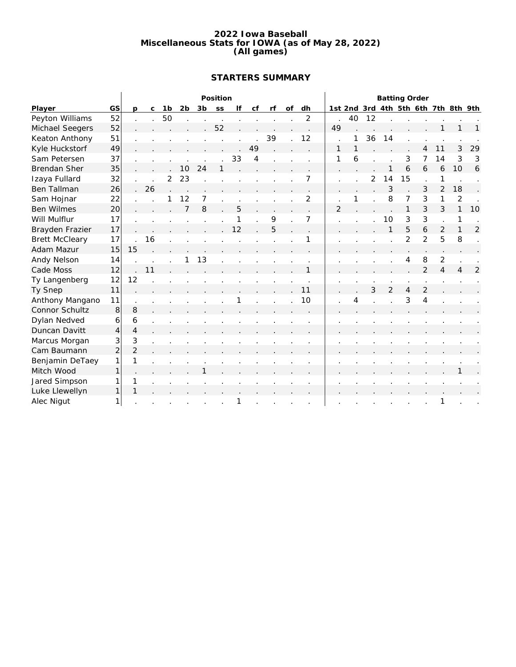#### **2022 Iowa Baseball Miscellaneous Stats for IOWA (as of May 28, 2022) (All games)**

# **STARTERS SUMMARY**

|                       |                |                |             |    |    |    | Position |    |    |    |    |                |                |    |    | <b>Batting Order</b> |                |                |                |                                     |                |
|-----------------------|----------------|----------------|-------------|----|----|----|----------|----|----|----|----|----------------|----------------|----|----|----------------------|----------------|----------------|----------------|-------------------------------------|----------------|
| Player                | GS             | <b>D</b>       | $\mathsf C$ | 1b | 2b | 3b | SS       | lf | cf | rf | of | dh             |                |    |    |                      |                |                |                | 1st 2nd 3rd 4th 5th 6th 7th 8th 9th |                |
| Peyton Williams       | 52             |                |             | 50 |    |    |          |    |    |    |    | $\overline{2}$ |                | 40 | 12 |                      |                |                |                |                                     |                |
| Michael Seegers       | 52             |                |             |    |    |    | 52       |    |    |    |    |                | 49             |    |    |                      |                |                |                |                                     |                |
| Keaton Anthony        | 51             |                |             |    |    |    |          |    |    | 39 |    | 12             |                |    | 36 | 14                   |                |                |                |                                     |                |
| Kyle Huckstorf        | 49             |                |             |    |    |    |          |    | 49 |    |    |                | 1              |    |    |                      |                |                | 11             | 3                                   | 29             |
| Sam Petersen          | 37             |                |             |    |    |    |          | 33 | 4  |    |    |                | 1              | 6  |    |                      | 3              | 7              | 14             | 3                                   | 3              |
| <b>Brendan Sher</b>   | 35             |                |             |    | 10 | 24 |          |    |    |    |    |                |                |    |    |                      | 6              | 6              | 6              | 10                                  | 6              |
| Izaya Fullard         | 32             |                |             | 2  | 23 |    |          |    |    |    |    |                |                |    | 2  | 14                   | 15             |                | 1              |                                     |                |
| Ben Tallman           | 26             |                | 26          |    |    |    |          |    |    |    |    |                |                |    |    | 3                    |                | 3              | $\overline{2}$ | 18                                  |                |
| Sam Hojnar            | 22             |                |             |    | 12 | 7  |          |    |    |    |    | 2              |                |    |    | 8                    | 7              | 3              | 1              | 2                                   |                |
| <b>Ben Wilmes</b>     | 20             |                |             |    | 7  | 8  |          | 5  |    |    |    |                | $\overline{2}$ |    |    |                      | 1              | 3              | 3              | $\mathbf{1}$                        | 10             |
| Will Mulflur          | 17             |                |             |    |    |    |          | 1  |    | 9  |    | 7              |                |    |    | 10                   | 3              | 3              |                | 1                                   |                |
| Brayden Frazier       | 17             |                |             |    |    |    |          | 12 |    | 5  |    |                |                |    |    |                      | 5              | 6              | 2              | $\mathbf{1}$                        | $\overline{2}$ |
| <b>Brett McCleary</b> | 17             |                | 16          |    |    |    |          |    |    |    |    |                |                |    |    |                      | $\overline{2}$ | $\overline{2}$ | 5              | 8                                   |                |
| Adam Mazur            | 15             | 15             |             |    |    |    |          |    |    |    |    |                |                |    |    |                      |                |                |                |                                     |                |
| Andy Nelson           | 14             |                |             |    |    | 13 |          |    |    |    |    |                |                |    |    |                      | 4              | 8              | $\overline{2}$ |                                     |                |
| Cade Moss             | 12             |                | 11          |    |    |    |          |    |    |    |    | 1              |                |    |    |                      |                | $\overline{2}$ | 4              | $\overline{\mathcal{A}}$            | 2              |
| Ty Langenberg         | 12             | 12             |             |    |    |    |          |    |    |    |    |                |                |    |    |                      |                |                |                |                                     |                |
| Ty Snep               | 11             |                |             |    |    |    |          |    |    |    |    | 11             |                |    | 3  | $\overline{2}$       | 4              | $\overline{2}$ |                |                                     |                |
| Anthony Mangano       | 11             |                |             |    |    |    |          |    |    |    |    | 10             |                | 4  |    |                      | 3              | $\overline{4}$ |                |                                     |                |
| Connor Schultz        | 8              | 8              |             |    |    |    |          |    |    |    |    |                |                |    |    |                      |                |                |                |                                     |                |
| Dylan Nedved          | 6              | 6              |             |    |    |    |          |    |    |    |    |                |                |    |    |                      |                |                |                |                                     |                |
| Duncan Davitt         | $\overline{4}$ | $\overline{4}$ |             |    |    |    |          |    |    |    |    |                |                |    |    |                      |                |                |                |                                     |                |
| Marcus Morgan         | 3              | 3              |             |    |    |    |          |    |    |    |    |                |                |    |    |                      |                |                |                |                                     |                |
| Cam Baumann           | $\overline{c}$ | $\overline{2}$ |             |    |    |    |          |    |    |    |    |                |                |    |    |                      |                |                |                |                                     |                |
| Benjamin DeTaey       | 1              | 1              |             |    |    |    |          |    |    |    |    |                |                |    |    |                      |                |                |                |                                     |                |
| Mitch Wood            | 1              |                |             |    |    |    |          |    |    |    |    |                |                |    |    |                      |                |                |                |                                     |                |
| Jared Simpson         | 1              | 1              |             |    |    |    |          |    |    |    |    |                |                |    |    |                      |                |                |                |                                     |                |
| Luke Llewellyn        | 1              | 1              |             |    |    |    |          |    |    |    |    |                |                |    |    |                      |                |                |                |                                     |                |
| Alec Nigut            | 1              |                |             |    |    |    |          | 1  |    |    |    |                |                |    |    |                      |                |                | 1              |                                     |                |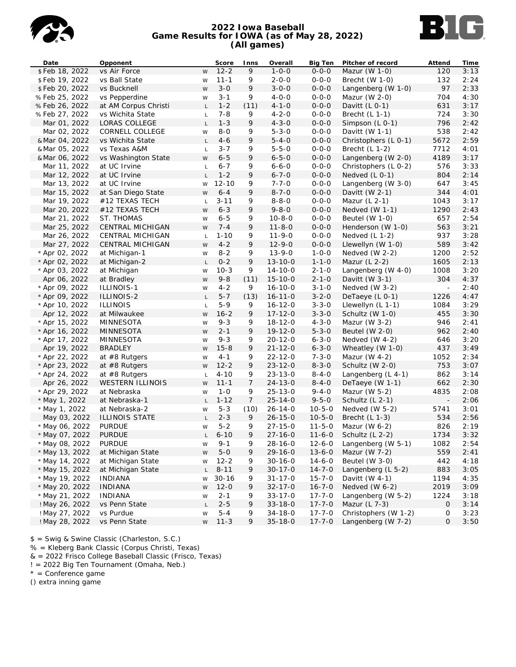

## **2022 Iowa Baseball Game Results for IOWA (as of May 28, 2022) (All games)**



| Date                  | Opponent                |                | Score      | Inns           | Overall       | <b>Big Ten</b> | Pitcher of record      | Attend                   | Time |
|-----------------------|-------------------------|----------------|------------|----------------|---------------|----------------|------------------------|--------------------------|------|
| \$Feb 18, 2022        | vs Air Force            | W              | $12 - 2$   | 9              | $1 - 0 - 0$   | $0 - 0 - 0$    | Mazur (W $1-0$ )       | 120                      | 3:13 |
| \$Feb 19, 2022        | vs Ball State           | W              | $11 - 1$   | 9              | $2 - 0 - 0$   | $0 - 0 - 0$    | Brecht $(W 1-0)$       | 132                      | 2:24 |
| \$Feb 20, 2022        | vs Bucknell             | W              | $3 - 0$    | 9              | $3 - 0 - 0$   | $0 - 0 - 0$    | Langenberg (W 1-0)     | 97                       | 2:33 |
| %Feb 25, 2022         | vs Pepperdine           | W              | $3 - 1$    | 9              | $4 - 0 - 0$   | $0 - 0 - 0$    | Mazur (W $2-0$ )       | 704                      | 4:30 |
| %Feb 26, 2022         | at AM Corpus Christi    | $\mathsf{L}$   | $1 - 2$    | (11)           | $4 - 1 - 0$   | $0 - 0 - 0$    | Davitt $(L 0-1)$       | 631                      | 3:17 |
| %Feb 27, 2022         | vs Wichita State        | $\mathsf{L}$   | $7 - 8$    | 9              | $4 - 2 - 0$   | $0 - 0 - 0$    | Brecht $(L 1-1)$       | 724                      | 3:30 |
| Mar 01, 2022          | LORAS COLLEGE           | $\mathsf{L}$   | $1 - 3$    | 9              | $4 - 3 - 0$   | $0 - 0 - 0$    | Simpson (L 0-1)        | 796                      | 2:42 |
| Mar 02, 2022          | CORNELL COLLEGE         | W              | $8 - 0$    | 9              | $5 - 3 - 0$   | $0 - 0 - 0$    | Davitt $(W 1-1)$       | 538                      | 2:42 |
| & Mar 04, 2022        | vs Wichita State        | $\mathsf{L}$   | $4 - 6$    | 9              | $5 - 4 - 0$   | $0 - 0 - 0$    | Christophers (L 0-1)   | 5672                     | 2:59 |
| & Mar 05, 2022        | vs Texas A&M            | $\mathsf{L}$   | $3 - 7$    | 9              | $5 - 5 - 0$   | $0 - 0 - 0$    | Brecht $(L 1-2)$       | 7712                     | 4:01 |
| & Mar 06, 2022        | vs Washington State     | W              | $6 - 5$    | 9              | $6 - 5 - 0$   | $0 - 0 - 0$    | Langenberg (W 2-0)     | 4189                     | 3:17 |
| Mar 11, 2022          | at UC Irvine            | $\mathsf{L}$   | $6 - 7$    | 9              | $6 - 6 - 0$   | $0 - 0 - 0$    | Christophers (L 0-2)   | 576                      | 3:33 |
| Mar 12, 2022          | at UC Irvine            | $\mathsf L$    | $1 - 2$    | 9              | $6 - 7 - 0$   | $0 - 0 - 0$    | Nedved $(L 0-1)$       | 804                      | 2:14 |
| Mar 13, 2022          | at UC Irvine            | W              | $12 - 10$  | 9              | $7 - 7 - 0$   | $0 - 0 - 0$    | Langenberg (W 3-0)     | 647                      | 3:45 |
| Mar 15, 2022          | at San Diego State      | W              | $6 - 4$    | 9              | $8 - 7 - 0$   | $0 - 0 - 0$    | Davitt (W $2-1$ )      | 344                      | 4:01 |
| Mar 19, 2022          | #12 TEXAS TECH          | $\mathsf{L}$   | $3 - 11$   | 9              | $8 - 8 - 0$   | $0 - 0 - 0$    | Mazur $(L 2-1)$        | 1043                     | 3:17 |
| Mar 20, 2022          | #12 TEXAS TECH          | W              | $6 - 3$    | 9              | $9 - 8 - 0$   | $0 - 0 - 0$    | Nedved $(W 1-1)$       | 1290                     | 2:43 |
| Mar 21, 2022          | ST. THOMAS              | W              | $6 - 5$    | 9              | $10 - 8 - 0$  | $0 - 0 - 0$    | Beutel (W 1-0)         | 657                      | 2:54 |
| Mar 25, 2022          | CENTRAL MICHIGAN        | W              | $7 - 4$    | 9              | $11 - 8 - 0$  | $0 - 0 - 0$    | Henderson (W 1-0)      | 563                      | 3:21 |
|                       | CENTRAL MICHIGAN        |                | $1 - 10$   | 9              | $11 - 9 - 0$  | $0 - 0 - 0$    | Nedved $(L 1-2)$       | 937                      | 3:28 |
| Mar 26, 2022          | CENTRAL MICHIGAN        | $\mathsf{L}$   |            |                |               | $0 - 0 - 0$    |                        | 589                      |      |
| Mar 27, 2022          |                         | W              | $4 - 2$    | 9              | $12 - 9 - 0$  |                | Llewellyn (W 1-0)      |                          | 3:42 |
| * Apr 02, 2022        | at Michigan-1           | W              | $8 - 2$    | 9              | $13 - 9 - 0$  | $1 - 0 - 0$    | Nedved $(W 2-2)$       | 1200                     | 2:52 |
| * Apr 02, 2022        | at Michigan-2           | $\mathsf{L}$   | $0 - 2$    | 9              | $13 - 10 - 0$ | $1 - 1 - 0$    | Mazur $(L 2-2)$        | 1605                     | 2:13 |
| * Apr 03, 2022        | at Michigan             | W              | $10-3$     | 9              | $14 - 10 - 0$ | $2 - 1 - 0$    | Langenberg (W 4-0)     | 1008                     | 3:20 |
| Apr 06, 2022          | at Bradley              | W              | $9 - 8$    | (11)           | $15 - 10 - 0$ | $2 - 1 - 0$    | Davitt (W $3-1$ )      | 304                      | 4:37 |
| * Apr 09, 2022        | ILLINOIS-1              | W              | $4 - 2$    | 9              | $16 - 10 - 0$ | $3 - 1 - 0$    | Nedved (W 3-2)         | $\sim$                   | 2:40 |
| * Apr 09, 2022        | ILLINOIS-2              | L.             | $5 - 7$    | (13)           | $16 - 11 - 0$ | $3 - 2 - 0$    | DeTaeye (L 0-1)        | 1226                     | 4:47 |
| * Apr 10, 2022        | <b>ILLINOIS</b>         | $\mathsf L$    | $5-9$      | 9              | $16 - 12 - 0$ | $3 - 3 - 0$    | Llewellyn $(L 1-1)$    | 1084                     | 3:29 |
| Apr 12, 2022          | at Milwaukee            | W              | $16 - 2$   | 9              | $17 - 12 - 0$ | $3 - 3 - 0$    | Schultz (W 1-0)        | 455                      | 3:30 |
| * Apr 15, 2022        | MINNESOTA               | W              | $9 - 3$    | 9              | $18 - 12 - 0$ | $4 - 3 - 0$    | Mazur (W $3-2$ )       | 946                      | 2:41 |
| * Apr 16, 2022        | MINNESOTA               | W              | $2 - 1$    | 9              | $19 - 12 - 0$ | $5 - 3 - 0$    | Beutel $(W 2-0)$       | 962                      | 2:40 |
| * Apr 17, 2022        | MINNESOTA               | W              | $9 - 3$    | 9              | $20 - 12 - 0$ | $6 - 3 - 0$    | Nedved $(W 4-2)$       | 646                      | 3:20 |
| Apr 19, 2022          | <b>BRADLEY</b>          | W              | $15 - 8$   | 9              | $21 - 12 - 0$ | $6 - 3 - 0$    | Wheatley (W 1-0)       | 437                      | 3:49 |
| * Apr 22, 2022        | at $#8$ Rutgers         | W              | $4 - 1$    | 9              | $22 - 12 - 0$ | $7 - 3 - 0$    | Mazur (W $4-2$ )       | 1052                     | 2:34 |
| * Apr 23, 2022        | at $#8$ Rutgers         | W              | $12 - 2$   | 9              | $23 - 12 - 0$ | $8 - 3 - 0$    | Schultz (W 2-0)        | 753                      | 3:07 |
| * Apr 24, 2022        | at #8 Rutgers           | $\mathsf L$    | $4 - 10$   | 9              | $23 - 13 - 0$ | $8 - 4 - 0$    | Langenberg (L 4-1)     | 862                      | 3:14 |
| Apr 26, 2022          | <b>WESTERN ILLINOIS</b> | W              | $11 - 1$   | $\overline{7}$ | $24 - 13 - 0$ | $8 - 4 - 0$    | DeTaeye (W 1-1)        | 662                      | 2:30 |
| * Apr 29, 2022        | at Nebraska             | W              | $1 - 0$    | 9              | $25 - 13 - 0$ | $9 - 4 - 0$    | Mazur (W 5-2)          | 4835                     | 2:08 |
| * May 1, 2022         | at Nebraska-1           | $\mathsf{L}^-$ | $1 - 12$   | 7              | $25 - 14 - 0$ | $9 - 5 - 0$    | Schultz (L 2-1)        | $\overline{\phantom{a}}$ | 2:06 |
| * May 1, 2022         | at Nebraska-2           | W              | $5 - 3$    | (10)           | 26-14-0       | $10 - 5 - 0$   | Nedved (W 5-2)         | 5741                     | 3:01 |
| May 03, 2022          | ILLINOIS STATE          | $\mathsf{L}$   | $2 - 3$    | 9              | $26 - 15 - 0$ | $10 - 5 - 0$   | Brecht $(L 1-3)$       | 534                      | 2:56 |
| * May 06, 2022        | <b>PURDUE</b>           | W              | $5 - 2$    | 9              | $27 - 15 - 0$ | $11 - 5 - 0$   | Mazur (W $6-2$ )       | 826                      | 2:19 |
| * May 07, 2022 PURDUE |                         |                | $L$ 6-10 9 |                | $27 - 16 - 0$ |                | 11-6-0 Schultz (L 2-2) | 1734                     | 3:32 |
| * May 08, 2022        | <b>PURDUE</b>           | W              | $9 - 1$    | 9              | $28 - 16 - 0$ | $12 - 6 - 0$   | Langenberg (W 5-1)     | 1082                     | 2:54 |
| * May 13, 2022        | at Michigan State       | W              | $5 - 0$    | 9              | $29 - 16 - 0$ | $13 - 6 - 0$   | Mazur (W 7-2)          | 559                      | 2:41 |
| * May 14, 2022        | at Michigan State       | W              | $12 - 2$   | 9              | $30 - 16 - 0$ | $14 - 6 - 0$   | Beutel (W 3-0)         | 442                      | 4:18 |
| * May 15, 2022        | at Michigan State       | L              | $8 - 11$   | 9              | $30 - 17 - 0$ | $14 - 7 - 0$   | Langenberg (L 5-2)     | 883                      | 3:05 |
| * May 19, 2022        | <b>INDIANA</b>          | W              | $30 - 16$  | 9              | $31 - 17 - 0$ | $15 - 7 - 0$   | Davitt (W $4-1$ )      | 1194                     | 4:35 |
| * May 20, 2022        | <b>INDIANA</b>          | W              | $12 - 0$   | 9              | $32 - 17 - 0$ | $16 - 7 - 0$   | Nedved (W 6-2)         | 2019                     | 3:09 |
| * May 21, 2022        | <b>INDIANA</b>          | W              | $2 - 1$    | 9              | $33 - 17 - 0$ | $17 - 7 - 0$   | Langenberg (W 5-2)     | 1224                     | 3:18 |
| ! May 26, 2022        | vs Penn State           | L              | $2 - 5$    | 9              | $33 - 18 - 0$ | $17 - 7 - 0$   | Mazur (L 7-3)          | 0                        | 3:14 |
| ! May 27, 2022        | vs Purdue               | W              | $5 - 4$    | 9              | $34 - 18 - 0$ | $17 - 7 - 0$   | Christophers (W 1-2)   | 0                        | 3:23 |
| ! May 28, 2022        | vs Penn State           | W              | $11 - 3$   | 9              | $35 - 18 - 0$ | $17 - 7 - 0$   | Langenberg (W 7-2)     | 0                        | 3:50 |

\$ = Swig & Swine Classic (Charleston, S.C.)

% = Kleberg Bank Classic (Corpus Christi, Texas)

& = 2022 Frisco College Baseball Classic (Frisco, Texas)

! = 2022 Big Ten Tournament (Omaha, Neb.)

\* = Conference game

() extra inning game